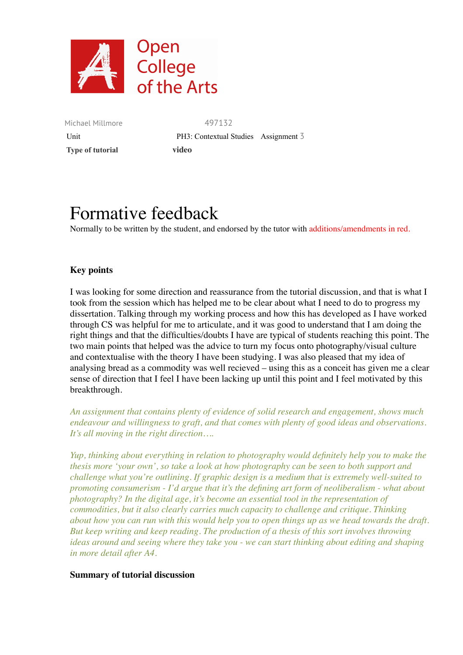

Michael Millmore 497132  **Type of tutorial video**

Unit **PH3:** Contextual Studies Assignment 3

# Formative feedback

Normally to be written by the student, and endorsed by the tutor with additions/amendments in red.

## **Key points**

I was looking for some direction and reassurance from the tutorial discussion, and that is what I took from the session which has helped me to be clear about what I need to do to progress my dissertation. Talking through my working process and how this has developed as I have worked through CS was helpful for me to articulate, and it was good to understand that I am doing the right things and that the difficulties/doubts I have are typical of students reaching this point. The two main points that helped was the advice to turn my focus onto photography/visual culture and contextualise with the theory I have been studying. I was also pleased that my idea of analysing bread as a commodity was well recieved – using this as a conceit has given me a clear sense of direction that I feel I have been lacking up until this point and I feel motivated by this breakthrough.

*An assignment that contains plenty of evidence of solid research and engagement, shows much endeavour and willingness to graft, and that comes with plenty of good ideas and observations. It's all moving in the right direction….*

*Yup, thinking about everything in relation to photography would definitely help you to make the thesis more 'your own', so take a look at how photography can be seen to both support and challenge what you're outlining. If graphic design is a medium that is extremely well-suited to promoting consumerism - I'd argue that it's the defining art form of neoliberalism - what about photography? In the digital age, it's become an essential tool in the representation of commodities, but it also clearly carries much capacity to challenge and critique. Thinking about how you can run with this would help you to open things up as we head towards the draft. But keep writing and keep reading. The production of a thesis of this sort involves throwing ideas around and seeing where they take you - we can start thinking about editing and shaping in more detail after A4.*

#### **Summary of tutorial discussion**